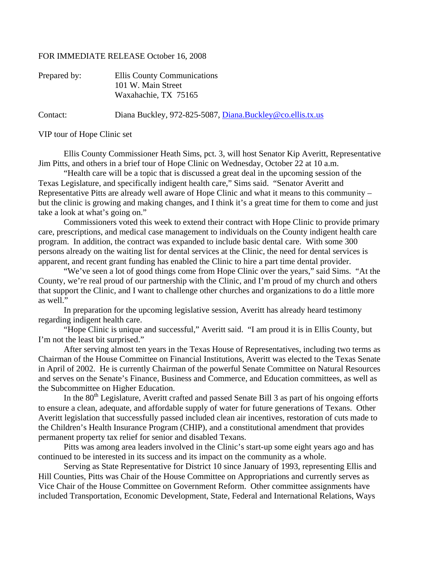## FOR IMMEDIATE RELEASE October 16, 2008

| Prepared by: | Ellis County Communications                               |
|--------------|-----------------------------------------------------------|
|              | 101 W. Main Street                                        |
|              | Waxahachie, TX 75165                                      |
| Contact:     | Diana Buckley, 972-825-5087, Diana.Buckley@co.ellis.tx.us |

VIP tour of Hope Clinic set

 Ellis County Commissioner Heath Sims, pct. 3, will host Senator Kip Averitt, Representative Jim Pitts, and others in a brief tour of Hope Clinic on Wednesday, October 22 at 10 a.m.

 "Health care will be a topic that is discussed a great deal in the upcoming session of the Texas Legislature, and specifically indigent health care," Sims said. "Senator Averitt and Representative Pitts are already well aware of Hope Clinic and what it means to this community – but the clinic is growing and making changes, and I think it's a great time for them to come and just take a look at what's going on."

 Commissioners voted this week to extend their contract with Hope Clinic to provide primary care, prescriptions, and medical case management to individuals on the County indigent health care program. In addition, the contract was expanded to include basic dental care. With some 300 persons already on the waiting list for dental services at the Clinic, the need for dental services is apparent, and recent grant funding has enabled the Clinic to hire a part time dental provider.

 "We've seen a lot of good things come from Hope Clinic over the years," said Sims. "At the County, we're real proud of our partnership with the Clinic, and I'm proud of my church and others that support the Clinic, and I want to challenge other churches and organizations to do a little more as well."

 In preparation for the upcoming legislative session, Averitt has already heard testimony regarding indigent health care.

 "Hope Clinic is unique and successful," Averitt said. "I am proud it is in Ellis County, but I'm not the least bit surprised."

 After serving almost ten years in the Texas House of Representatives, including two terms as Chairman of the House Committee on Financial Institutions, Averitt was elected to the Texas Senate in April of 2002. He is currently Chairman of the powerful Senate Committee on Natural Resources and serves on the Senate's Finance, Business and Commerce, and Education committees, as well as the Subcommittee on Higher Education.

In the 80<sup>th</sup> Legislature, Averitt crafted and passed Senate Bill 3 as part of his ongoing efforts to ensure a clean, adequate, and affordable supply of water for future generations of Texans. Other Averitt legislation that successfully passed included clean air incentives, restoration of cuts made to the Children's Health Insurance Program (CHIP), and a constitutional amendment that provides permanent property tax relief for senior and disabled Texans.

 Pitts was among area leaders involved in the Clinic's start-up some eight years ago and has continued to be interested in its success and its impact on the community as a whole.

 Serving as State Representative for District 10 since January of 1993, representing Ellis and Hill Counties, Pitts was Chair of the House Committee on Appropriations and currently serves as Vice Chair of the House Committee on Government Reform. Other committee assignments have included Transportation, Economic Development, State, Federal and International Relations, Ways